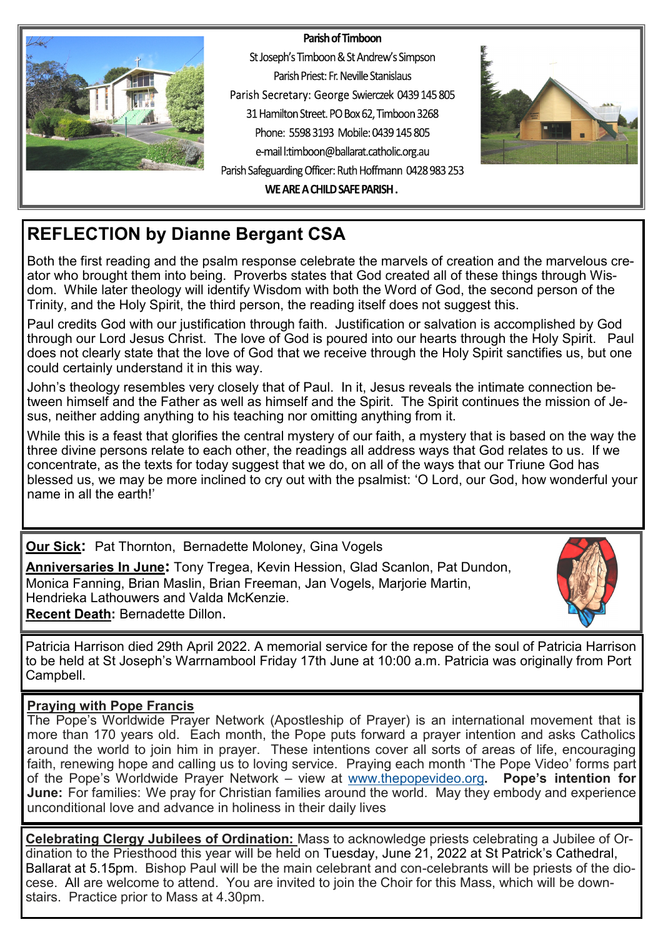#### Parish of Timboon



St Joseph's Timboon & St Andrew's Simpson Parish Priest: Fr. Neville Stanislaus Parish Secretary: George Swierczek 0439 145 805 31 Hamilton Street. PO Box 62, Timboon 3268 Phone: 5598.3193 Mobile: 0439 145 805 e-mail l:timboon@ballarat.catholic.org.au Parish Safeguarding Officer: Ruth Hoffmann 0428 983 253



WE ARE A CHILD SAFE PARISH.

## **REFLECTION by Dianne Bergant CSA**

Both the first reading and the psalm response celebrate the marvels of creation and the marvelous creator who brought them into being. Proverbs states that God created all of these things through Wisdom. While later theology will identify Wisdom with both the Word of God, the second person of the Trinity, and the Holy Spirit, the third person, the reading itself does not suggest this.

Paul credits God with our justification through faith. Justification or salvation is accomplished by God through our Lord Jesus Christ. The love of God is poured into our hearts through the Holy Spirit. Paul does not clearly state that the love of God that we receive through the Holy Spirit sanctifies us, but one could certainly understand it in this way.

John's theology resembles very closely that of Paul. In it, Jesus reveals the intimate connection between himself and the Father as well as himself and the Spirit. The Spirit continues the mission of Jesus, neither adding anything to his teaching nor omitting anything from it.

While this is a feast that glorifies the central mystery of our faith, a mystery that is based on the way the three divine persons relate to each other, the readings all address ways that God relates to us. If we concentrate, as the texts for today suggest that we do, on all of the ways that our Triune God has blessed us, we may be more inclined to cry out with the psalmist: 'O Lord, our God, how wonderful your name in all the earth!'

**Our Sick:** Pat Thornton, Bernadette Moloney, Gina Vogels

**Anniversaries In June:** Tony Tregea, Kevin Hession, Glad Scanlon, Pat Dundon, Monica Fanning, Brian Maslin, Brian Freeman, Jan Vogels, Marjorie Martin, Hendrieka Lathouwers and Valda McKenzie. **Recent Death:** Bernadette Dillon.



Patricia Harrison died 29th April 2022. A memorial service for the repose of the soul of Patricia Harrison to be held at St Joseph's Warrnambool Friday 17th June at 10:00 a.m. Patricia was originally from Port Campbell.

## **Praying with Pope Francis**

The Pope's Worldwide Prayer Network (Apostleship of Prayer) is an international movement that is more than 170 years old. Each month, the Pope puts forward a prayer intention and asks Catholics around the world to join him in prayer. These intentions cover all sorts of areas of life, encouraging faith, renewing hope and calling us to loving service. Praying each month 'The Pope Video' forms part of the Pope's Worldwide Prayer Network – view at [www.thepopevideo.org](http://www.thepopevideo.org/)**. Pope's intention for June:** For families: We pray for Christian families around the world. May they embody and experience unconditional love and advance in holiness in their daily lives

**Celebrating Clergy Jubilees of Ordination:** Mass to acknowledge priests celebrating a Jubilee of Ordination to the Priesthood this year will be held on Tuesday, June 21, 2022 at St Patrick's Cathedral, Ballarat at 5.15pm. Bishop Paul will be the main celebrant and con-celebrants will be priests of the diocese. All are welcome to attend. You are invited to join the Choir for this Mass, which will be downstairs. Practice prior to Mass at 4.30pm.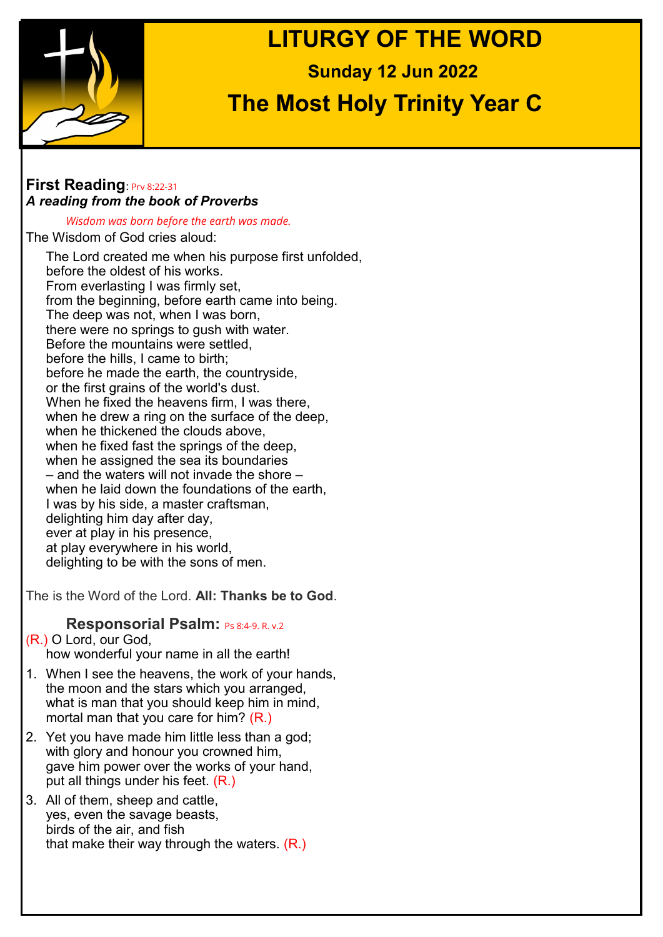

# **LITURGY OF THE WORD**

**Sunday 12 Jun 2022 The Most Holy Trinity Year C**

## **First Reading: Prv 8:22-31** *A reading from the book of Proverbs*

### *Wisdom was born before the earth was made.*

The Wisdom of God cries aloud:

The Lord created me when his purpose first unfolded, before the oldest of his works. From everlasting I was firmly set, from the beginning, before earth came into being. The deep was not, when I was born, there were no springs to gush with water. Before the mountains were settled, before the hills, I came to birth; before he made the earth, the countryside, or the first grains of the world's dust. When he fixed the heavens firm, I was there, when he drew a ring on the surface of the deep, when he thickened the clouds above, when he fixed fast the springs of the deep, when he assigned the sea its boundaries – and the waters will not invade the shore – when he laid down the foundations of the earth, I was by his side, a master craftsman, delighting him day after day, ever at play in his presence, at play everywhere in his world, delighting to be with the sons of men.

The is the Word of the Lord. **All: Thanks be to God**.

## **Responsorial Psalm: Ps 8:4-9. R. v.2**

 $(R<sub>1</sub>)$  O Lord, our God, how wonderful your name in all the earth!

- 1. When I see the heavens, the work of your hands, the moon and the stars which you arranged, what is man that you should keep him in mind, mortal man that you care for him? (R.)
- 2. Yet you have made him little less than a god; with glory and honour you crowned him. gave him power over the works of your hand, put all things under his feet. (R.)
- 3. All of them, sheep and cattle, yes, even the savage beasts, birds of the air, and fish that make their way through the waters.  $(R<sub>1</sub>)$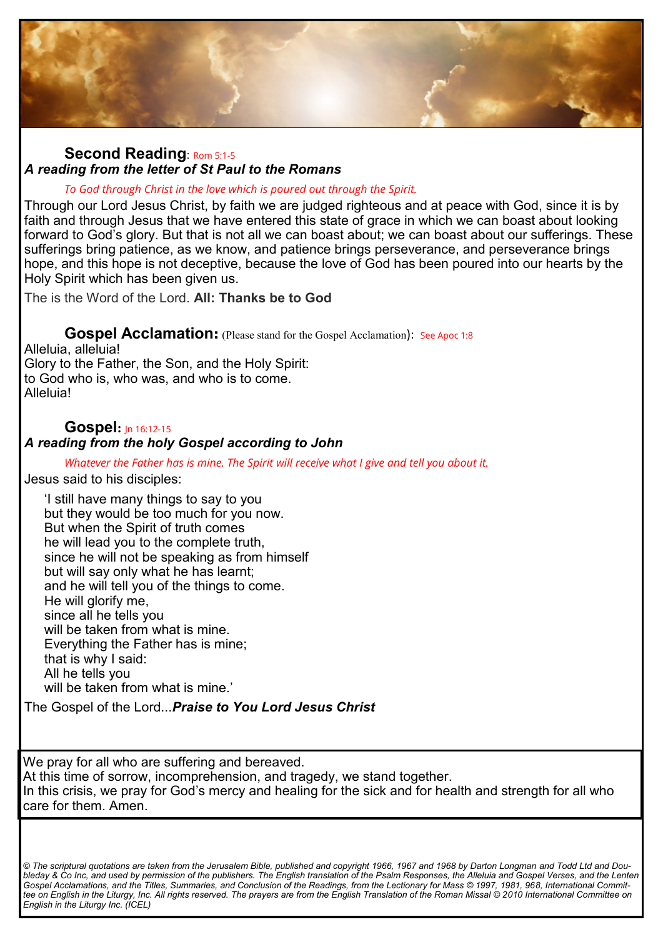

## **Second Reading**: Rom 5:1-<sup>5</sup> *A reading from the letter of St Paul to the Romans*

#### *To God through Christ in the love which is poured out through the Spirit.*

Through our Lord Jesus Christ, by faith we are judged righteous and at peace with God, since it is by faith and through Jesus that we have entered this state of grace in which we can boast about looking forward to God's glory. But that is not all we can boast about; we can boast about our sufferings. These sufferings bring patience, as we know, and patience brings perseverance, and perseverance brings hope, and this hope is not deceptive, because the love of God has been poured into our hearts by the Holy Spirit which has been given us.

The is the Word of the Lord. **All: Thanks be to God**

## **Gospel Acclamation:** (Please stand for the Gospel Acclamation): See Apoc 1:8

Alleluia, alleluia! Glory to the Father, the Son, and the Holy Spirit: to God who is, who was, and who is to come. Alleluia!

### **Gospel:** Jn 16:12-<sup>15</sup> *A reading from the holy Gospel according to John*

*Whatever the Father has is mine. The Spirit will receive what I give and tell you about it.*

Jesus said to his disciples:

'I still have many things to say to you but they would be too much for you now. But when the Spirit of truth comes he will lead you to the complete truth, since he will not be speaking as from himself but will say only what he has learnt; and he will tell you of the things to come. He will glorify me, since all he tells you will be taken from what is mine. Everything the Father has is mine; that is why I said: All he tells you will be taken from what is mine.'

The Gospel of the Lord...*Praise to You Lord Jesus Christ*

We pray for all who are suffering and bereaved. At this time of sorrow, incomprehension, and tragedy, we stand together. In this crisis, we pray for God's mercy and healing for the sick and for health and strength for all who care for them. Amen.

*© The scriptural quotations are taken from the Jerusalem Bible, published and copyright 1966, 1967 and 1968 by Darton Longman and Todd Ltd and Doubleday & Co Inc, and used by permission of the publishers. The English translation of the Psalm Responses, the Alleluia and Gospel Verses, and the Lenten Gospel Acclamations, and the Titles, Summaries, and Conclusion of the Readings, from the Lectionary for Mass © 1997, 1981, 968, International Committee on English in the Liturgy, Inc. All rights reserved. The prayers are from the English Translation of the Roman Missal © 2010 International Committee on English in the Liturgy Inc. (ICEL)*